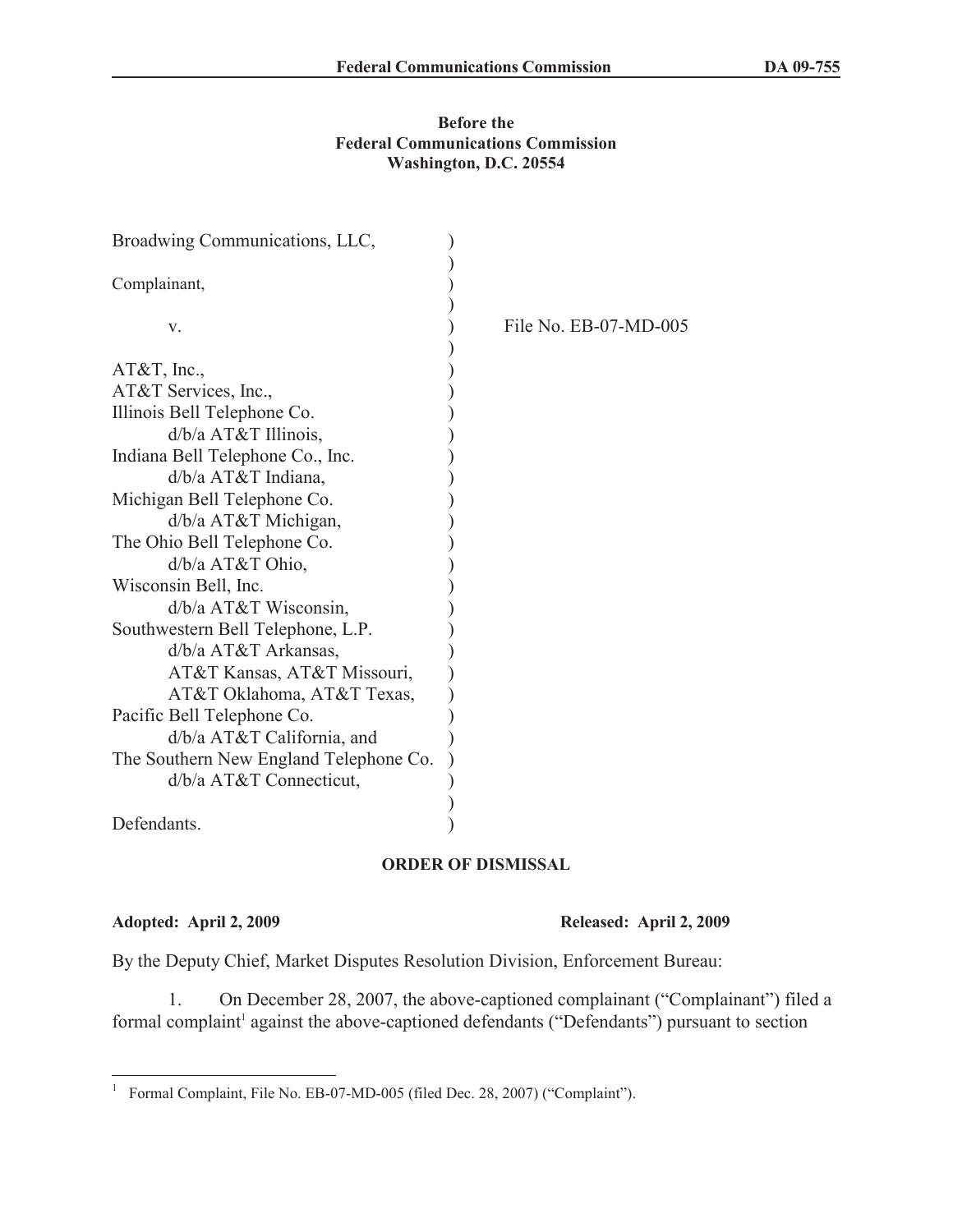## **Before the Federal Communications Commission Washington, D.C. 20554**

| Broadwing Communications, LLC,         |                       |
|----------------------------------------|-----------------------|
| Complainant,                           |                       |
| V.                                     | File No. EB-07-MD-005 |
|                                        |                       |
| $AT&T$ , Inc.,                         |                       |
| AT&T Services, Inc.,                   |                       |
| Illinois Bell Telephone Co.            |                       |
| $d/b/a$ AT&T Illinois,                 |                       |
| Indiana Bell Telephone Co., Inc.       |                       |
| $d/b/a$ AT&T Indiana,                  |                       |
| Michigan Bell Telephone Co.            |                       |
| $d/b/a$ AT&T Michigan,                 |                       |
| The Ohio Bell Telephone Co.            |                       |
| d/b/a AT&T Ohio,                       |                       |
| Wisconsin Bell, Inc.                   |                       |
| d/b/a AT&T Wisconsin,                  |                       |
| Southwestern Bell Telephone, L.P.      |                       |
| $d/b/a$ AT&T Arkansas,                 |                       |
| AT&T Kansas, AT&T Missouri,            |                       |
| AT&T Oklahoma, AT&T Texas,             |                       |
| Pacific Bell Telephone Co.             |                       |
| $d/b/a$ AT&T California, and           |                       |
| The Southern New England Telephone Co. |                       |
| d/b/a AT&T Connecticut,                |                       |
|                                        |                       |
| Defendants.                            |                       |

## **ORDER OF DISMISSAL**

**Adopted: April 2, 2009 Released: April 2, 2009**

By the Deputy Chief, Market Disputes Resolution Division, Enforcement Bureau:

1. On December 28, 2007, the above-captioned complainant ("Complainant") filed a formal complaint<sup>1</sup> against the above-captioned defendants ("Defendants") pursuant to section

<sup>&</sup>lt;sup>1</sup> Formal Complaint, File No. EB-07-MD-005 (filed Dec. 28, 2007) ("Complaint").